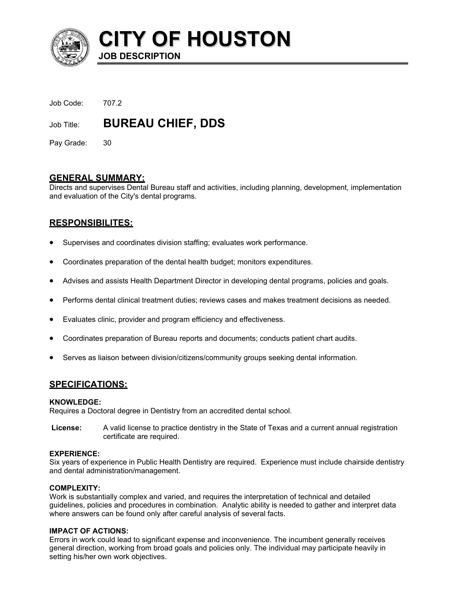

**CITY OF HOUSTON**

Job Code: 707.2

Job Title: **BUREAU CHIEF, DDS** 

**JOB DESCRIPTION** 

Pay Grade: 30

# **GENERAL SUMMARY:**

Directs and supervises Dental Bureau staff and activities, including planning, development, implementation and evaluation of the City's dental programs.

# **RESPONSIBILITES:**

- Supervises and coordinates division staffing; evaluates work performance.
- Coordinates preparation of the dental health budget; monitors expenditures.
- Advises and assists Health Department Director in developing dental programs, policies and goals.
- Performs dental clinical treatment duties; reviews cases and makes treatment decisions as needed.
- Evaluates clinic, provider and program efficiency and effectiveness.
- Coordinates preparation of Bureau reports and documents; conducts patient chart audits.
- Serves as liaison between division/citizens/community groups seeking dental information.

# **SPECIFICATIONS:**

## **KNOWLEDGE:**

Requires a Doctoral degree in Dentistry from an accredited dental school.

**License:** A valid license to practice dentistry in the State of Texas and a current annual registration certificate are required.

## **EXPERIENCE:**

Six years of experience in Public Health Dentistry are required. Experience must include chairside dentistry and dental administration/management.

## **COMPLEXITY:**

Work is substantially complex and varied, and requires the interpretation of technical and detailed guidelines, policies and procedures in combination. Analytic ability is needed to gather and interpret data where answers can be found only after careful analysis of several facts.

## **IMPACT OF ACTIONS:**

Errors in work could lead to significant expense and inconvenience. The incumbent generally receives general direction, working from broad goals and policies only. The individual may participate heavily in setting his/her own work objectives.